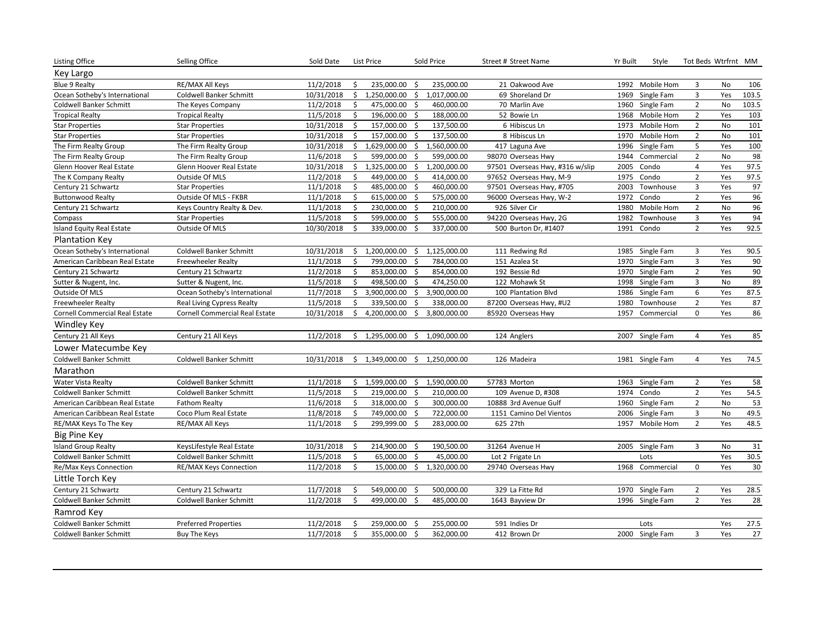| <b>Listing Office</b>                 | Selling Office                        | Sold Date  |    | List Price    |                    | Sold Price                       | Street # Street Name            | Yr Built | Style           |                | Tot Beds Wtrfrnt MM |                 |
|---------------------------------------|---------------------------------------|------------|----|---------------|--------------------|----------------------------------|---------------------------------|----------|-----------------|----------------|---------------------|-----------------|
| Key Largo                             |                                       |            |    |               |                    |                                  |                                 |          |                 |                |                     |                 |
| <b>Blue 9 Realty</b>                  | RE/MAX All Keys                       | 11/2/2018  |    | 235,000.00    | -Ś                 | 235,000.00                       | 21 Oakwood Ave                  | 1992     | Mobile Hom      | 3              | No                  | 106             |
| Ocean Sotheby's International         | Coldwell Banker Schmitt               | 10/31/2018 | \$ | 1,250,000.00  | \$                 | 1,017,000.00                     | 69 Shoreland Dr                 | 1969     | Single Fam      | 3              | Yes                 | 103.5           |
| Coldwell Banker Schmitt               | The Keyes Company                     | 11/2/2018  | \$ | 475,000.00    | -\$                | 460,000.00                       | 70 Marlin Ave                   | 1960     | Single Fam      | $\overline{2}$ | No                  | 103.5           |
| <b>Tropical Realty</b>                | <b>Tropical Realty</b>                | 11/5/2018  | \$ | 196,000.00    | \$                 | 188,000.00                       | 52 Bowie Ln                     | 1968     | Mobile Hom      | $\overline{2}$ | Yes                 | 103             |
| <b>Star Properties</b>                | <b>Star Properties</b>                | 10/31/2018 | Ŝ. | 157,000.00    | $\zeta$            | 137,500.00                       | 6 Hibiscus Ln                   | 1973     | Mobile Hom      | $\overline{2}$ | No                  | 101             |
| <b>Star Properties</b>                | <b>Star Properties</b>                | 10/31/2018 | Ś. | 157,000.00    | -\$                | 137,500.00                       | 8 Hibiscus Ln                   | 1970     | Mobile Hom      | $\overline{2}$ | No                  | 101             |
| The Firm Realty Group                 | The Firm Realty Group                 | 10/31/2018 | \$ | 1,629,000.00  | \$                 | 1,560,000.00                     | 417 Laguna Ave                  | 1996     | Single Fam      | 5              | Yes                 | 100             |
| The Firm Realty Group                 | The Firm Realty Group                 | 11/6/2018  | Ś  | 599,000.00    | -\$                | 599,000.00                       | 98070 Overseas Hwy              | 1944     | Commercial      | $\overline{2}$ | No                  | 98              |
| Glenn Hoover Real Estate              | Glenn Hoover Real Estate              | 10/31/2018 | \$ | 1,325,000.00  | \$                 | 1,200,000.00                     | 97501 Overseas Hwy, #316 w/slip | 2005     | Condo           | $\overline{4}$ | Yes                 | 97.5            |
| The K Company Realty                  | Outside Of MLS                        | 11/2/2018  | \$ | 449,000.00    | \$                 | 414,000.00                       | 97652 Overseas Hwy, M-9         | 1975     | Condo           | $\overline{2}$ | Yes                 | 97.5            |
| Century 21 Schwartz                   | <b>Star Properties</b>                | 11/1/2018  | Ś. | 485,000.00    | \$                 | 460,000.00                       | 97501 Overseas Hwy, #705        | 2003     | Townhouse       | 3              | Yes                 | 97              |
| <b>Buttonwood Realty</b>              | Outside Of MLS - FKBR                 | 11/1/2018  | Ŝ. | 615,000.00    | -\$                | 575,000.00                       | 96000 Overseas Hwy, W-2         | 1972     | Condo           | $\overline{2}$ | Yes                 | 96              |
| Century 21 Schwartz                   | Keys Country Realty & Dev.            | 11/1/2018  | \$ | 230,000.00    | -\$                | 210,000.00                       | 926 Silver Cir                  | 1980     | Mobile Hom      | $\overline{2}$ | No                  | 96              |
| Compass                               | <b>Star Properties</b>                | 11/5/2018  | \$ | 599,000.00    | $\mathsf{\dot{S}}$ | 555,000.00                       | 94220 Overseas Hwy, 2G          | 1982     | Townhouse       | 3              | Yes                 | 94              |
| Island Equity Real Estate             | Outside Of MLS                        | 10/30/2018 | Ŝ. | 339,000.00    | S.                 | 337,000.00                       | 500 Burton Dr, #1407            | 1991     | Condo           | $\overline{2}$ | Yes                 | 92.5            |
| <b>Plantation Key</b>                 |                                       |            |    |               |                    |                                  |                                 |          |                 |                |                     |                 |
| Ocean Sotheby's International         | <b>Coldwell Banker Schmitt</b>        | 10/31/2018 | \$ | 1,200,000.00  | \$                 | 1,125,000.00                     | 111 Redwing Rd                  |          | 1985 Single Fam | 3              | Yes                 | 90.5            |
| American Caribbean Real Estate        | Freewheeler Realty                    | 11/1/2018  | Ŝ. | 799,000.00    | S.                 | 784,000.00                       | 151 Azalea St                   | 1970     | Single Fam      | $\overline{3}$ | Yes                 | $90\,$          |
| Century 21 Schwartz                   | Century 21 Schwartz                   | 11/2/2018  | Ŝ. | 853,000.00    | -\$                | 854,000.00                       | 192 Bessie Rd                   | 1970     | Single Fam      | $\overline{2}$ | Yes                 | 90              |
| Sutter & Nugent, Inc.                 | Sutter & Nugent, Inc.                 | 11/5/2018  | \$ | 498,500.00    | $\mathsf{\hat{S}}$ | 474,250.00                       | 122 Mohawk St                   | 1998     | Single Fam      | $\overline{3}$ | No                  | 89              |
| Outside Of MLS                        | Ocean Sotheby's International         | 11/7/2018  | Ŝ. | 3,900,000.00  | \$                 | 3,900,000.00                     | 100 Plantation Blvd             | 1986     | Single Fam      | 6              | Yes                 | 87.5            |
| <b>Freewheeler Realty</b>             | Real Living Cypress Realty            | 11/5/2018  | Ŝ. | 339,500.00    | -\$                | 338,000.00                       | 87200 Overseas Hwy, #U2         | 1980     | Townhouse       | $\overline{2}$ | Yes                 | 87              |
| <b>Cornell Commercial Real Estate</b> | <b>Cornell Commercial Real Estate</b> | 10/31/2018 | \$ | 4,200,000.00  | \$                 | 3,800,000.00                     | 85920 Overseas Hwy              | 1957     | Commercial      | $\mathbf 0$    | Yes                 | 86              |
| <b>Windley Key</b>                    |                                       |            |    |               |                    |                                  |                                 |          |                 |                |                     |                 |
| Century 21 All Keys                   | Century 21 All Keys                   | 11/2/2018  | Ś. | 1,295,000.00  |                    | \$1,090,000.00                   | 124 Anglers                     |          | 2007 Single Fam | $\overline{4}$ | Yes                 | 85              |
| Lower Matecumbe Key                   |                                       |            |    |               |                    |                                  |                                 |          |                 |                |                     |                 |
| <b>Coldwell Banker Schmitt</b>        | <b>Coldwell Banker Schmitt</b>        | 10/31/2018 |    |               |                    | $$1,349,000.00$$ $$1,250,000.00$ | 126 Madeira                     |          | 1981 Single Fam | $\overline{4}$ | Yes                 | 74.5            |
| Marathon                              |                                       |            |    |               |                    |                                  |                                 |          |                 |                |                     |                 |
| Water Vista Realty                    | Coldwell Banker Schmitt               | 11/1/2018  | Ŝ. | 1,599,000.00  | \$                 | 1,590,000.00                     | 57783 Morton                    | 1963     | Single Fam      | $\overline{2}$ | Yes                 | 58              |
| <b>Coldwell Banker Schmitt</b>        | Coldwell Banker Schmitt               | 11/5/2018  | \$ | 219,000.00    | $\mathsf{\hat{S}}$ | 210,000.00                       | 109 Avenue D, #308              | 1974     | Condo           | $\overline{2}$ | Yes                 | 54.5            |
| American Caribbean Real Estate        | <b>Fathom Realty</b>                  | 11/6/2018  | \$ | 318,000.00 \$ |                    | 300,000.00                       | 10888 3rd Avenue Gulf           | 1960     | Single Fam      | $\overline{2}$ | No                  | 53              |
| American Caribbean Real Estate        | Coco Plum Real Estate                 | 11/8/2018  | \$ | 749,000.00    | -\$                | 722,000.00                       | 1151 Camino Del Vientos         | 2006     | Single Fam      | 3              | No                  | 49.5            |
| RE/MAX Keys To The Key                | RE/MAX All Keys                       | 11/1/2018  | Ŝ. | 299,999.00    | $\mathsf{\dot{S}}$ | 283,000.00                       | 625 27th                        | 1957     | Mobile Hom      | $\overline{2}$ | Yes                 | 48.5            |
| <b>Big Pine Key</b>                   |                                       |            |    |               |                    |                                  |                                 |          |                 |                |                     |                 |
| <b>Island Group Realty</b>            | KeysLifestyle Real Estate             | 10/31/2018 | \$ | 214,900.00    | -\$                | 190,500.00                       | 31264 Avenue H                  |          | 2005 Single Fam | 3              | No                  | 31              |
| Coldwell Banker Schmitt               | Coldwell Banker Schmitt               | 11/5/2018  | \$ | 65,000.00     | \$                 | 45,000.00                        | Lot 2 Frigate Ln                |          | Lots            |                | Yes                 | 30.5            |
| Re/Max Keys Connection                | RE/MAX Keys Connection                | 11/2/2018  | \$ | 15,000.00     |                    | \$1,320,000.00                   | 29740 Overseas Hwy              | 1968     | Commercial      | $\mathbf 0$    | Yes                 | $30\,$          |
| Little Torch Key                      |                                       |            |    |               |                    |                                  |                                 |          |                 |                |                     |                 |
| Century 21 Schwartz                   | Century 21 Schwartz                   | 11/7/2018  | \$ | 549,000.00    | -\$                | 500,000.00                       | 329 La Fitte Rd                 | 1970     | Single Fam      | $\overline{2}$ | Yes                 | 28.5            |
| <b>Coldwell Banker Schmitt</b>        | Coldwell Banker Schmitt               | 11/2/2018  | Ŝ. | 499,000.00    | -\$                | 485,000.00                       | 1643 Bayview Dr                 |          | 1996 Single Fam | $\overline{2}$ | Yes                 | 28              |
| Ramrod Key                            |                                       |            |    |               |                    |                                  |                                 |          |                 |                |                     |                 |
| <b>Coldwell Banker Schmitt</b>        | <b>Preferred Properties</b>           | 11/2/2018  | Ŝ. | 259,000.00    | -\$                | 255,000.00                       | 591 Indies Dr                   |          | Lots            |                | Yes                 | 27.5            |
| <b>Coldwell Banker Schmitt</b>        | <b>Buy The Keys</b>                   | 11/7/2018  | \$ | 355,000.00    | $\mathsf{\dot{S}}$ | 362,000.00                       | 412 Brown Dr                    |          | 2000 Single Fam | 3              | Yes                 | $\overline{27}$ |
|                                       |                                       |            |    |               |                    |                                  |                                 |          |                 |                |                     |                 |